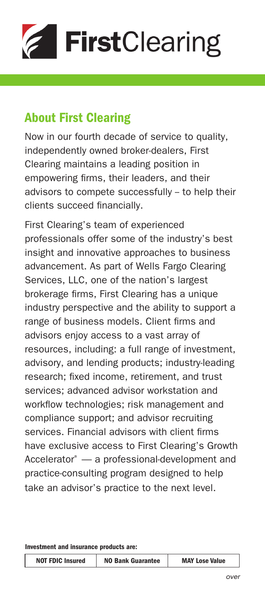

## About First Clearing

Now in our fourth decade of service to quality, independently owned broker-dealers, First Clearing maintains a leading position in empowering firms, their leaders, and their advisors to compete successfully -- to help their clients succeed financially.

First Clearing's team of experienced professionals offer some of the industry's best insight and innovative approaches to business advancement. As part of Wells Fargo Clearing Services, LLC, one of the nation's largest brokerage firms, First Clearing has a unique industry perspective and the ability to support a range of business models. Client firms and advisors enjoy access to a vast array of resources, including: a full range of investment, advisory, and lending products; industry-leading research; fixed income, retirement, and trust services; advanced advisor workstation and workflow technologies; risk management and compliance support; and advisor recruiting services. Financial advisors with client firms have exclusive access to First Clearing's Growth Accelerator® — a professional-development and practice-consulting program designed to help take an advisor's practice to the next level.

Investment and insurance products are:

| <b>NOT FDIC Insured</b> | <b>NO Bank Guarantee</b> | <b>MAY Lose Value</b> |
|-------------------------|--------------------------|-----------------------|
|-------------------------|--------------------------|-----------------------|